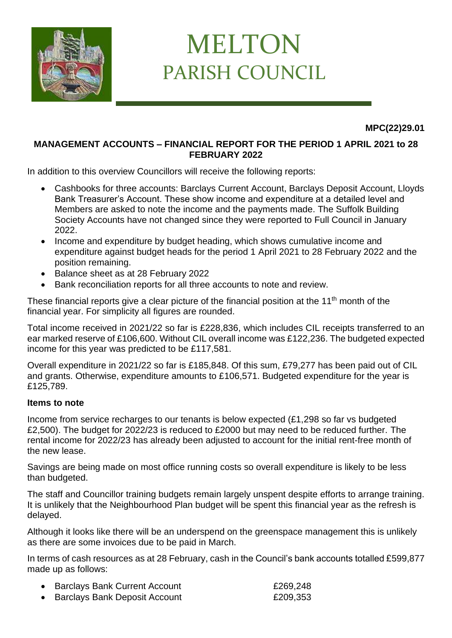

## MELTON PARISH COUNCIL

**MPC(22)29.01**

## **MANAGEMENT ACCOUNTS – FINANCIAL REPORT FOR THE PERIOD 1 APRIL 2021 to 28 FEBRUARY 2022**

In addition to this overview Councillors will receive the following reports:

- Cashbooks for three accounts: Barclays Current Account, Barclays Deposit Account, Lloyds Bank Treasurer's Account. These show income and expenditure at a detailed level and Members are asked to note the income and the payments made. The Suffolk Building Society Accounts have not changed since they were reported to Full Council in January 2022.
- Income and expenditure by budget heading, which shows cumulative income and expenditure against budget heads for the period 1 April 2021 to 28 February 2022 and the position remaining.
- Balance sheet as at 28 February 2022
- Bank reconciliation reports for all three accounts to note and review.

These financial reports give a clear picture of the financial position at the  $11<sup>th</sup>$  month of the financial year. For simplicity all figures are rounded.

Total income received in 2021/22 so far is £228,836, which includes CIL receipts transferred to an ear marked reserve of £106,600. Without CIL overall income was £122,236. The budgeted expected income for this year was predicted to be £117,581.

Overall expenditure in 2021/22 so far is £185,848. Of this sum, £79,277 has been paid out of CIL and grants. Otherwise, expenditure amounts to £106,571. Budgeted expenditure for the year is £125,789.

## **Items to note**

Income from service recharges to our tenants is below expected (£1,298 so far vs budgeted £2,500). The budget for 2022/23 is reduced to £2000 but may need to be reduced further. The rental income for 2022/23 has already been adjusted to account for the initial rent-free month of the new lease.

Savings are being made on most office running costs so overall expenditure is likely to be less than budgeted.

The staff and Councillor training budgets remain largely unspent despite efforts to arrange training. It is unlikely that the Neighbourhood Plan budget will be spent this financial year as the refresh is delayed.

Although it looks like there will be an underspend on the greenspace management this is unlikely as there are some invoices due to be paid in March.

In terms of cash resources as at 28 February, cash in the Council's bank accounts totalled £599,877 made up as follows:

| • Barclays Bank Current Account      | £269,248 |
|--------------------------------------|----------|
| <b>Barclays Bank Deposit Account</b> | £209,353 |